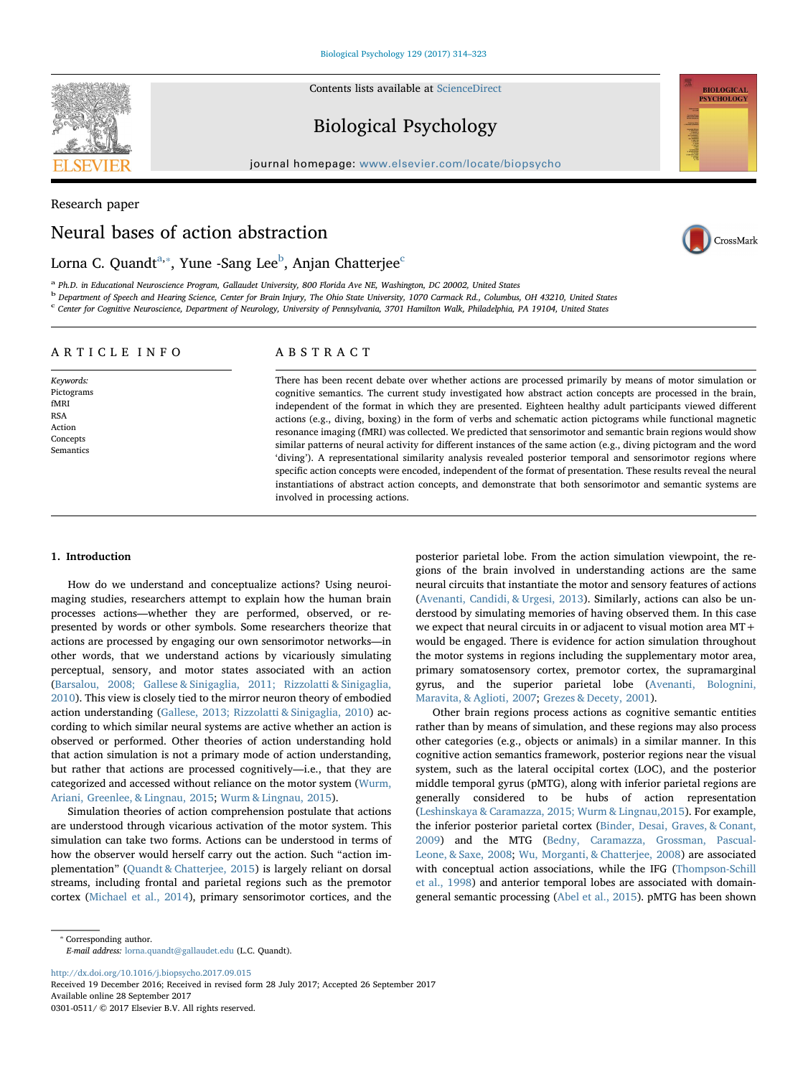Contents lists available at [ScienceDirect](http://www.sciencedirect.com/science/journal/03010511)

# Biological Psychology

journal homepage: [www.elsevier.com/locate/biopsycho](https://www.elsevier.com/locate/biopsycho)





# Research paper Neural bases of action abstraction



Lorna C. Quandt $^{\mathrm{a},*}$ , Yune -Sang Lee $^{\mathrm{b}}$ , Anjan Chatterjee $^{\mathrm{c}}$  $^{\mathrm{c}}$  $^{\mathrm{c}}$ 

<span id="page-0-0"></span><sup>a</sup> Ph.D. in Educational Neuroscience Program, Gallaudet University, 800 Florida Ave NE, Washington, DC 20002, United States

<span id="page-0-2"></span><sup>b</sup> Department of Speech and Hearing Science, Center for Brain Injury, The Ohio State University, 1070 Carmack Rd., Columbus, OH 43210, United States

<span id="page-0-3"></span><sup>c</sup> Center for Cognitive Neuroscience, Department of Neurology, University of Pennsylvania, 3701 Hamilton Walk, Philadelphia, PA 19104, United States

### ARTICLE INFO

Keywords: Pictograms fMRI RSA Action Concepts Semantics

## ABSTRACT

There has been recent debate over whether actions are processed primarily by means of motor simulation or cognitive semantics. The current study investigated how abstract action concepts are processed in the brain, independent of the format in which they are presented. Eighteen healthy adult participants viewed different actions (e.g., diving, boxing) in the form of verbs and schematic action pictograms while functional magnetic resonance imaging (fMRI) was collected. We predicted that sensorimotor and semantic brain regions would show similar patterns of neural activity for different instances of the same action (e.g., diving pictogram and the word 'diving'). A representational similarity analysis revealed posterior temporal and sensorimotor regions where specific action concepts were encoded, independent of the format of presentation. These results reveal the neural instantiations of abstract action concepts, and demonstrate that both sensorimotor and semantic systems are involved in processing actions.

#### 1. Introduction

How do we understand and conceptualize actions? Using neuroimaging studies, researchers attempt to explain how the human brain processes actions—whether they are performed, observed, or represented by words or other symbols. Some researchers theorize that actions are processed by engaging our own sensorimotor networks—in other words, that we understand actions by vicariously simulating perceptual, sensory, and motor states associated with an action ([Barsalou, 2008; Gallese & Sinigaglia, 2011; Rizzolatti & Sinigaglia,](#page-8-0) [2010\)](#page-8-0). This view is closely tied to the mirror neuron theory of embodied action understanding ([Gallese, 2013; Rizzolatti & Sinigaglia, 2010](#page-8-1)) according to which similar neural systems are active whether an action is observed or performed. Other theories of action understanding hold that action simulation is not a primary mode of action understanding, but rather that actions are processed cognitively—i.e., that they are categorized and accessed without reliance on the motor system ([Wurm,](#page-9-0) [Ariani, Greenlee, & Lingnau, 2015;](#page-9-0) [Wurm & Lingnau, 2015\)](#page-9-1).

Simulation theories of action comprehension postulate that actions are understood through vicarious activation of the motor system. This simulation can take two forms. Actions can be understood in terms of how the observer would herself carry out the action. Such "action implementation" ([Quandt & Chatterjee, 2015\)](#page-9-2) is largely reliant on dorsal streams, including frontal and parietal regions such as the premotor cortex ([Michael et al., 2014](#page-9-3)), primary sensorimotor cortices, and the

posterior parietal lobe. From the action simulation viewpoint, the regions of the brain involved in understanding actions are the same neural circuits that instantiate the motor and sensory features of actions ([Avenanti, Candidi, & Urgesi, 2013](#page-8-2)). Similarly, actions can also be understood by simulating memories of having observed them. In this case we expect that neural circuits in or adjacent to visual motion area MT+ would be engaged. There is evidence for action simulation throughout the motor systems in regions including the supplementary motor area, primary somatosensory cortex, premotor cortex, the supramarginal gyrus, and the superior parietal lobe ([Avenanti, Bolognini,](#page-8-3) [Maravita, & Aglioti, 2007;](#page-8-3) [Grezes & Decety, 2001\)](#page-8-4).

Other brain regions process actions as cognitive semantic entities rather than by means of simulation, and these regions may also process other categories (e.g., objects or animals) in a similar manner. In this cognitive action semantics framework, posterior regions near the visual system, such as the lateral occipital cortex (LOC), and the posterior middle temporal gyrus (pMTG), along with inferior parietal regions are generally considered to be hubs of action representation ([Leshinskaya & Caramazza, 2015; Wurm & Lingnau,2015\)](#page-9-4). For example, the inferior posterior parietal cortex ([Binder, Desai, Graves, & Conant,](#page-8-5) [2009\)](#page-8-5) and the MTG [\(Bedny, Caramazza, Grossman, Pascual-](#page-8-6)[Leone, & Saxe, 2008;](#page-8-6) [Wu, Morganti, & Chatterjee, 2008](#page-9-5)) are associated with conceptual action associations, while the IFG ([Thompson-Schill](#page-9-6) [et al., 1998\)](#page-9-6) and anterior temporal lobes are associated with domaingeneral semantic processing [\(Abel et al., 2015\)](#page-8-7). pMTG has been shown

<http://dx.doi.org/10.1016/j.biopsycho.2017.09.015>

Received 19 December 2016; Received in revised form 28 July 2017; Accepted 26 September 2017 Available online 28 September 2017

0301-0511/ © 2017 Elsevier B.V. All rights reserved.

<span id="page-0-1"></span><sup>⁎</sup> Corresponding author.

E-mail address: [lorna.quandt@gallaudet.edu](mailto:lorna.quandt@gallaudet.edu) (L.C. Quandt).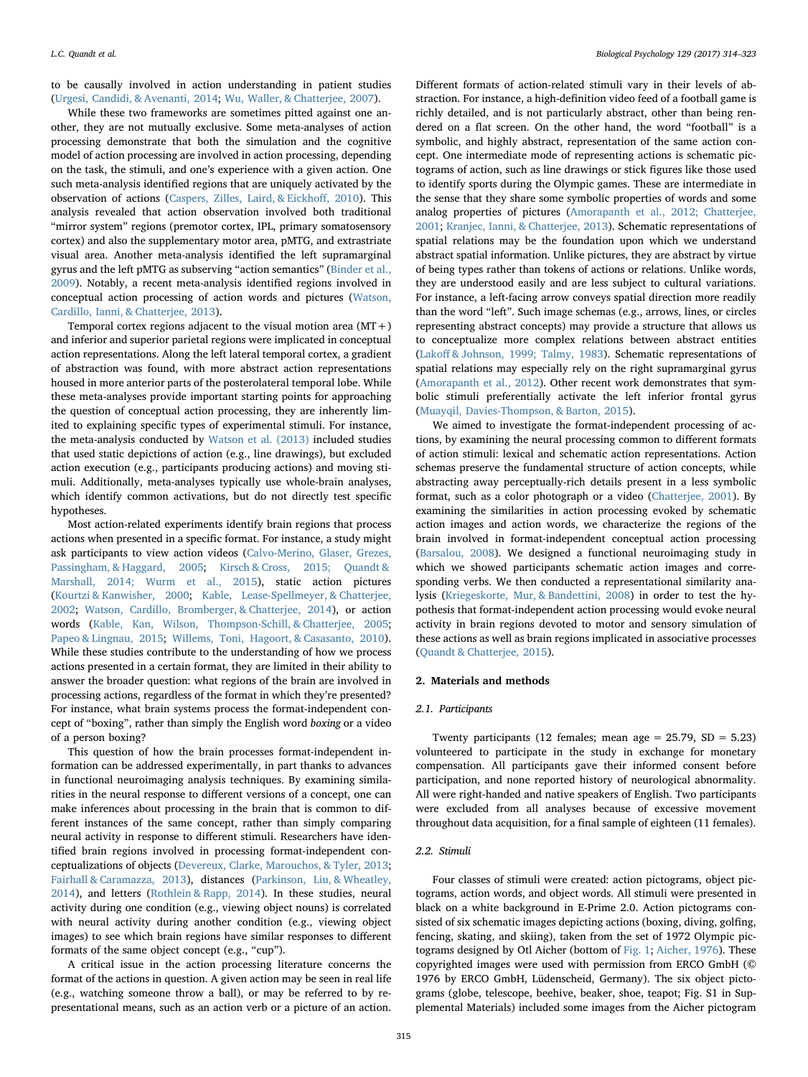to be causally involved in action understanding in patient studies ([Urgesi, Candidi, & Avenanti, 2014;](#page-9-7) [Wu, Waller, & Chatterjee, 2007\)](#page-9-8).

While these two frameworks are sometimes pitted against one another, they are not mutually exclusive. Some meta-analyses of action processing demonstrate that both the simulation and the cognitive model of action processing are involved in action processing, depending on the task, the stimuli, and one's experience with a given action. One such meta-analysis identified regions that are uniquely activated by the observation of actions ([Caspers, Zilles, Laird, & Eickho](#page-8-8)ff, 2010). This analysis revealed that action observation involved both traditional "mirror system" regions (premotor cortex, IPL, primary somatosensory cortex) and also the supplementary motor area, pMTG, and extrastriate visual area. Another meta-analysis identified the left supramarginal gyrus and the left pMTG as subserving "action semantics" ([Binder et al.,](#page-8-5) [2009\)](#page-8-5). Notably, a recent meta-analysis identified regions involved in conceptual action processing of action words and pictures [\(Watson,](#page-9-9) [Cardillo, Ianni, & Chatterjee, 2013\)](#page-9-9).

Temporal cortex regions adjacent to the visual motion area  $(MT+)$ and inferior and superior parietal regions were implicated in conceptual action representations. Along the left lateral temporal cortex, a gradient of abstraction was found, with more abstract action representations housed in more anterior parts of the posterolateral temporal lobe. While these meta-analyses provide important starting points for approaching the question of conceptual action processing, they are inherently limited to explaining specific types of experimental stimuli. For instance, the meta-analysis conducted by [Watson et al. \(2013\)](#page-9-9) included studies that used static depictions of action (e.g., line drawings), but excluded action execution (e.g., participants producing actions) and moving stimuli. Additionally, meta-analyses typically use whole-brain analyses, which identify common activations, but do not directly test specific hypotheses.

Most action-related experiments identify brain regions that process actions when presented in a specific format. For instance, a study might ask participants to view action videos [\(Calvo-Merino, Glaser, Grezes,](#page-8-9) [Passingham, & Haggard, 2005](#page-8-9); [Kirsch & Cross, 2015; Quandt &](#page-8-10) [Marshall, 2014; Wurm et al., 2015\)](#page-8-10), static action pictures ([Kourtzi & Kanwisher, 2000;](#page-8-11) [Kable, Lease-Spellmeyer, & Chatterjee,](#page-8-12) [2002;](#page-8-12) [Watson, Cardillo, Bromberger, & Chatterjee, 2014\)](#page-9-10), or action words ([Kable, Kan, Wilson, Thompson-Schill, & Chatterjee, 2005](#page-8-13); [Papeo & Lingnau, 2015;](#page-9-11) [Willems, Toni, Hagoort, & Casasanto, 2010](#page-9-12)). While these studies contribute to the understanding of how we process actions presented in a certain format, they are limited in their ability to answer the broader question: what regions of the brain are involved in processing actions, regardless of the format in which they're presented? For instance, what brain systems process the format-independent concept of "boxing", rather than simply the English word boxing or a video of a person boxing?

This question of how the brain processes format-independent information can be addressed experimentally, in part thanks to advances in functional neuroimaging analysis techniques. By examining similarities in the neural response to different versions of a concept, one can make inferences about processing in the brain that is common to different instances of the same concept, rather than simply comparing neural activity in response to different stimuli. Researchers have identified brain regions involved in processing format-independent conceptualizations of objects [\(Devereux, Clarke, Marouchos, & Tyler, 2013](#page-8-14); [Fairhall & Caramazza, 2013\)](#page-8-15), distances ([Parkinson, Liu, & Wheatley,](#page-9-13) [2014\)](#page-9-13), and letters [\(Rothlein & Rapp, 2014](#page-9-14)). In these studies, neural activity during one condition (e.g., viewing object nouns) is correlated with neural activity during another condition (e.g., viewing object images) to see which brain regions have similar responses to different formats of the same object concept (e.g., "cup").

A critical issue in the action processing literature concerns the format of the actions in question. A given action may be seen in real life (e.g., watching someone throw a ball), or may be referred to by representational means, such as an action verb or a picture of an action.

Different formats of action-related stimuli vary in their levels of abstraction. For instance, a high-definition video feed of a football game is richly detailed, and is not particularly abstract, other than being rendered on a flat screen. On the other hand, the word "football" is a symbolic, and highly abstract, representation of the same action concept. One intermediate mode of representing actions is schematic pictograms of action, such as line drawings or stick figures like those used to identify sports during the Olympic games. These are intermediate in the sense that they share some symbolic properties of words and some analog properties of pictures ([Amorapanth et al., 2012; Chatterjee,](#page-8-16) [2001;](#page-8-16) [Kranjec, Ianni, & Chatterjee, 2013](#page-9-15)). Schematic representations of spatial relations may be the foundation upon which we understand abstract spatial information. Unlike pictures, they are abstract by virtue of being types rather than tokens of actions or relations. Unlike words, they are understood easily and are less subject to cultural variations. For instance, a left-facing arrow conveys spatial direction more readily than the word "left". Such image schemas (e.g., arrows, lines, or circles representing abstract concepts) may provide a structure that allows us to conceptualize more complex relations between abstract entities (Lakoff [& Johnson, 1999; Talmy, 1983\)](#page-9-16). Schematic representations of spatial relations may especially rely on the right supramarginal gyrus ([Amorapanth et al., 2012\)](#page-8-16). Other recent work demonstrates that symbolic stimuli preferentially activate the left inferior frontal gyrus ([Muayqil, Davies-Thompson, & Barton, 2015\)](#page-9-17).

We aimed to investigate the format-independent processing of actions, by examining the neural processing common to different formats of action stimuli: lexical and schematic action representations. Action schemas preserve the fundamental structure of action concepts, while abstracting away perceptually-rich details present in a less symbolic format, such as a color photograph or a video ([Chatterjee,](#page-8-17) 2001). By examining the similarities in action processing evoked by schematic action images and action words, we characterize the regions of the brain involved in format-independent conceptual action processing ([Barsalou, 2008\)](#page-8-0). We designed a functional neuroimaging study in which we showed participants schematic action images and corresponding verbs. We then conducted a representational similarity analysis ([Kriegeskorte, Mur, & Bandettini, 2008\)](#page-9-18) in order to test the hypothesis that format-independent action processing would evoke neural activity in brain regions devoted to motor and sensory simulation of these actions as well as brain regions implicated in associative processes ([Quandt & Chatterjee, 2015\)](#page-9-2).

#### 2. Materials and methods

#### 2.1. Participants

Twenty participants (12 females; mean age =  $25.79$ , SD =  $5.23$ ) volunteered to participate in the study in exchange for monetary compensation. All participants gave their informed consent before participation, and none reported history of neurological abnormality. All were right-handed and native speakers of English. Two participants were excluded from all analyses because of excessive movement throughout data acquisition, for a final sample of eighteen (11 females).

#### 2.2. Stimuli

Four classes of stimuli were created: action pictograms, object pictograms, action words, and object words. All stimuli were presented in black on a white background in E-Prime 2.0. Action pictograms consisted of six schematic images depicting actions (boxing, diving, golfing, fencing, skating, and skiing), taken from the set of 1972 Olympic pictograms designed by Otl Aicher (bottom of [Fig. 1;](#page-2-0) [Aicher, 1976\)](#page-8-18). These copyrighted images were used with permission from ERCO GmbH (© 1976 by ERCO GmbH, Lüdenscheid, Germany). The six object pictograms (globe, telescope, beehive, beaker, shoe, teapot; Fig. S1 in Supplemental Materials) included some images from the Aicher pictogram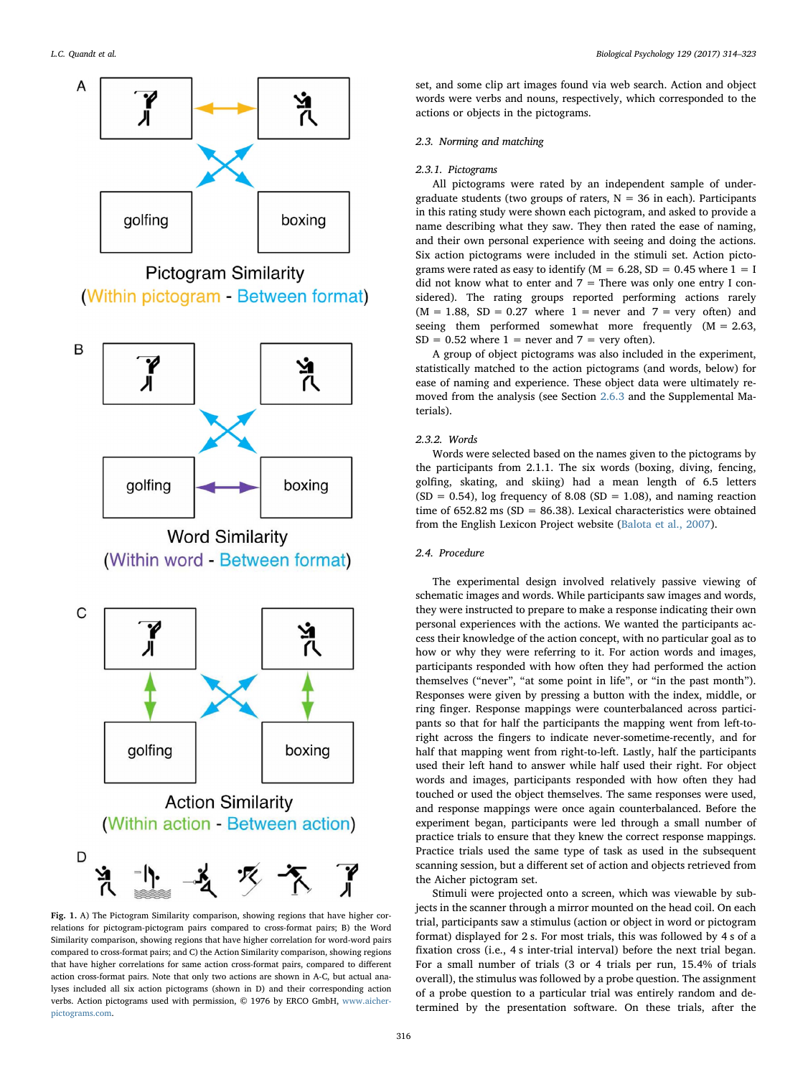<span id="page-2-0"></span>

Fig. 1. A) The Pictogram Similarity comparison, showing regions that have higher correlations for pictogram-pictogram pairs compared to cross-format pairs; B) the Word Similarity comparison, showing regions that have higher correlation for word-word pairs compared to cross-format pairs; and C) the Action Similarity comparison, showing regions that have higher correlations for same action cross-format pairs, compared to different action cross-format pairs. Note that only two actions are shown in A-C, but actual analyses included all six action pictograms (shown in D) and their corresponding action verbs. Action pictograms used with permission, © 1976 by ERCO GmbH, [www.aicher](http://www.aicher-pictograms.com)[pictograms.com](http://www.aicher-pictograms.com).

set, and some clip art images found via web search. Action and object words were verbs and nouns, respectively, which corresponded to the actions or objects in the pictograms.

#### 2.3. Norming and matching

#### 2.3.1. Pictograms

All pictograms were rated by an independent sample of undergraduate students (two groups of raters,  $N = 36$  in each). Participants in this rating study were shown each pictogram, and asked to provide a name describing what they saw. They then rated the ease of naming, and their own personal experience with seeing and doing the actions. Six action pictograms were included in the stimuli set. Action pictograms were rated as easy to identify ( $M = 6.28$ , SD = 0.45 where 1 = I did not know what to enter and  $7 =$  There was only one entry I considered). The rating groups reported performing actions rarely  $(M = 1.88, SD = 0.27$  where  $1 =$  never and  $7 =$  very often) and seeing them performed somewhat more frequently  $(M = 2.63,$  $SD = 0.52$  where  $1 =$  never and  $7 =$  very often).

A group of object pictograms was also included in the experiment, statistically matched to the action pictograms (and words, below) for ease of naming and experience. These object data were ultimately removed from the analysis (see Section [2.6.3](#page-3-0) and the Supplemental Materials).

#### 2.3.2. Words

Words were selected based on the names given to the pictograms by the participants from 2.1.1. The six words (boxing, diving, fencing, golfing, skating, and skiing) had a mean length of 6.5 letters  $(SD = 0.54)$ , log frequency of 8.08  $(SD = 1.08)$ , and naming reaction time of  $652.82 \text{ ms}$  (SD =  $86.38$ ). Lexical characteristics were obtained from the English Lexicon Project website [\(Balota et al., 2007\)](#page-8-19).

### 2.4. Procedure

The experimental design involved relatively passive viewing of schematic images and words. While participants saw images and words, they were instructed to prepare to make a response indicating their own personal experiences with the actions. We wanted the participants access their knowledge of the action concept, with no particular goal as to how or why they were referring to it. For action words and images, participants responded with how often they had performed the action themselves ("never", "at some point in life", or "in the past month"). Responses were given by pressing a button with the index, middle, or ring finger. Response mappings were counterbalanced across participants so that for half the participants the mapping went from left-toright across the fingers to indicate never-sometime-recently, and for half that mapping went from right-to-left. Lastly, half the participants used their left hand to answer while half used their right. For object words and images, participants responded with how often they had touched or used the object themselves. The same responses were used, and response mappings were once again counterbalanced. Before the experiment began, participants were led through a small number of practice trials to ensure that they knew the correct response mappings. Practice trials used the same type of task as used in the subsequent scanning session, but a different set of action and objects retrieved from the Aicher pictogram set.

Stimuli were projected onto a screen, which was viewable by subjects in the scanner through a mirror mounted on the head coil. On each trial, participants saw a stimulus (action or object in word or pictogram format) displayed for 2 s. For most trials, this was followed by 4 s of a fixation cross (i.e., 4 s inter-trial interval) before the next trial began. For a small number of trials (3 or 4 trials per run, 15.4% of trials overall), the stimulus was followed by a probe question. The assignment of a probe question to a particular trial was entirely random and determined by the presentation software. On these trials, after the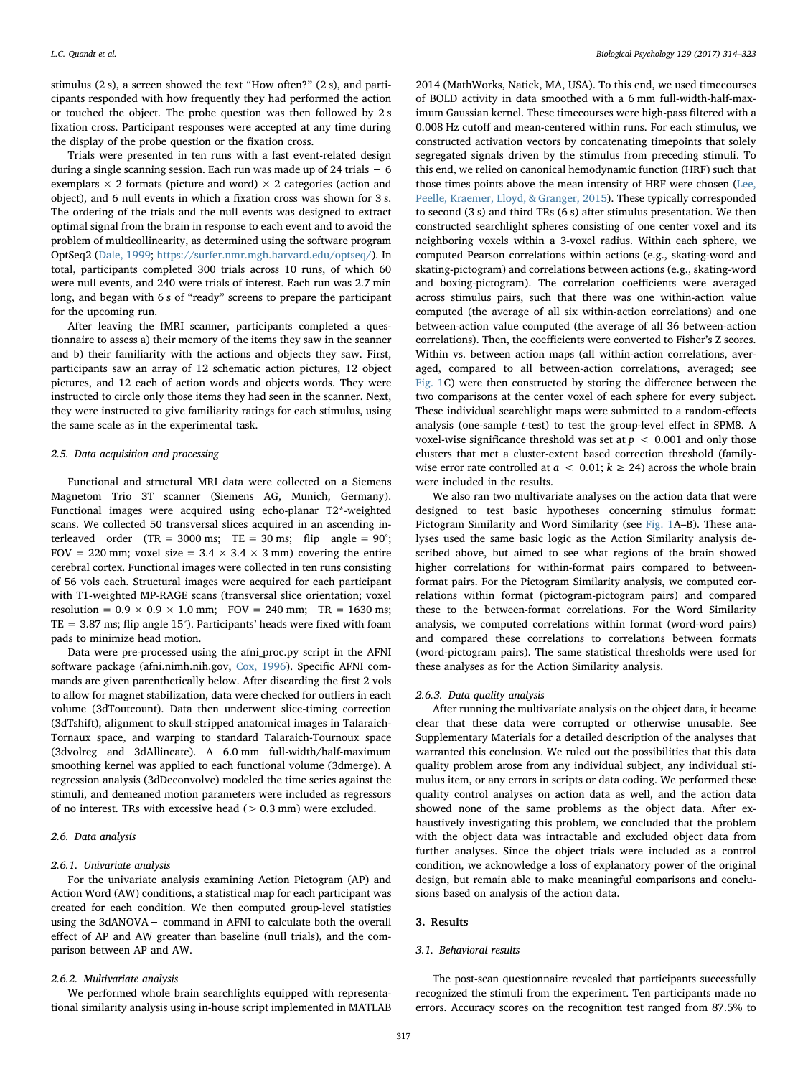stimulus (2 s), a screen showed the text "How often?" (2 s), and participants responded with how frequently they had performed the action or touched the object. The probe question was then followed by 2 s fixation cross. Participant responses were accepted at any time during the display of the probe question or the fixation cross.

Trials were presented in ten runs with a fast event-related design during a single scanning session. Each run was made up of 24 trials  $-6$ exemplars  $\times$  2 formats (picture and word)  $\times$  2 categories (action and object), and 6 null events in which a fixation cross was shown for 3 s. The ordering of the trials and the null events was designed to extract optimal signal from the brain in response to each event and to avoid the problem of multicollinearity, as determined using the software program OptSeq2 ([Dale, 1999](#page-8-20); [https://surfer.nmr.mgh.harvard.edu/optseq/\)](https://surfer.nmr.mgh.harvard.edu/optseq/). In total, participants completed 300 trials across 10 runs, of which 60 were null events, and 240 were trials of interest. Each run was 2.7 min long, and began with 6 s of "ready" screens to prepare the participant for the upcoming run.

After leaving the fMRI scanner, participants completed a questionnaire to assess a) their memory of the items they saw in the scanner and b) their familiarity with the actions and objects they saw. First, participants saw an array of 12 schematic action pictures, 12 object pictures, and 12 each of action words and objects words. They were instructed to circle only those items they had seen in the scanner. Next, they were instructed to give familiarity ratings for each stimulus, using the same scale as in the experimental task.

#### 2.5. Data acquisition and processing

Functional and structural MRI data were collected on a Siemens Magnetom Trio 3T scanner (Siemens AG, Munich, Germany). Functional images were acquired using echo-planar T2\*-weighted scans. We collected 50 transversal slices acquired in an ascending interleaved order  $(TR = 3000 \text{ ms}; TE = 30 \text{ ms}; \text{ flip angle} = 90^{\circ};$ FOV = 220 mm; voxel size =  $3.4 \times 3.4 \times 3$  mm) covering the entire cerebral cortex. Functional images were collected in ten runs consisting of 56 vols each. Structural images were acquired for each participant with T1-weighted MP-RAGE scans (transversal slice orientation; voxel resolution =  $0.9 \times 0.9 \times 1.0$  mm; FOV = 240 mm; TR = 1630 ms;  $TE = 3.87$  ms; flip angle 15°). Participants' heads were fixed with foam pads to minimize head motion.

Data were pre-processed using the afni\_proc.py script in the AFNI software package (afni.nimh.nih.gov, [Cox, 1996\)](#page-8-21). Specific AFNI commands are given parenthetically below. After discarding the first 2 vols to allow for magnet stabilization, data were checked for outliers in each volume (3dToutcount). Data then underwent slice-timing correction (3dTshift), alignment to skull-stripped anatomical images in Talaraich-Tornaux space, and warping to standard Talaraich-Tournoux space (3dvolreg and 3dAllineate). A 6.0 mm full-width/half-maximum smoothing kernel was applied to each functional volume (3dmerge). A regression analysis (3dDeconvolve) modeled the time series against the stimuli, and demeaned motion parameters were included as regressors of no interest. TRs with excessive head (> 0.3 mm) were excluded.

#### 2.6. Data analysis

#### 2.6.1. Univariate analysis

For the univariate analysis examining Action Pictogram (AP) and Action Word (AW) conditions, a statistical map for each participant was created for each condition. We then computed group-level statistics using the 3dANOVA+ command in AFNI to calculate both the overall effect of AP and AW greater than baseline (null trials), and the comparison between AP and AW.

#### 2.6.2. Multivariate analysis

We performed whole brain searchlights equipped with representational similarity analysis using in-house script implemented in MATLAB 2014 (MathWorks, Natick, MA, USA). To this end, we used timecourses of BOLD activity in data smoothed with a 6 mm full-width-half-maximum Gaussian kernel. These timecourses were high-pass filtered with a 0.008 Hz cutoff and mean-centered within runs. For each stimulus, we constructed activation vectors by concatenating timepoints that solely segregated signals driven by the stimulus from preceding stimuli. To this end, we relied on canonical hemodynamic function (HRF) such that those times points above the mean intensity of HRF were chosen [\(Lee,](#page-9-19) [Peelle, Kraemer, Lloyd, & Granger, 2015\)](#page-9-19). These typically corresponded to second (3 s) and third TRs (6 s) after stimulus presentation. We then constructed searchlight spheres consisting of one center voxel and its neighboring voxels within a 3-voxel radius. Within each sphere, we computed Pearson correlations within actions (e.g., skating-word and skating-pictogram) and correlations between actions (e.g., skating-word and boxing-pictogram). The correlation coefficients were averaged across stimulus pairs, such that there was one within-action value computed (the average of all six within-action correlations) and one between-action value computed (the average of all 36 between-action correlations). Then, the coefficients were converted to Fisher's Z scores. Within vs. between action maps (all within-action correlations, averaged, compared to all between-action correlations, averaged; see [Fig. 1](#page-2-0)C) were then constructed by storing the difference between the two comparisons at the center voxel of each sphere for every subject. These individual searchlight maps were submitted to a random-effects analysis (one-sample t-test) to test the group-level effect in SPM8. A voxel-wise significance threshold was set at  $p < 0.001$  and only those clusters that met a cluster-extent based correction threshold (familywise error rate controlled at  $a < 0.01$ ;  $k \ge 24$ ) across the whole brain were included in the results.

We also ran two multivariate analyses on the action data that were designed to test basic hypotheses concerning stimulus format: Pictogram Similarity and Word Similarity (see [Fig. 1A](#page-2-0)–B). These analyses used the same basic logic as the Action Similarity analysis described above, but aimed to see what regions of the brain showed higher correlations for within-format pairs compared to betweenformat pairs. For the Pictogram Similarity analysis, we computed correlations within format (pictogram-pictogram pairs) and compared these to the between-format correlations. For the Word Similarity analysis, we computed correlations within format (word-word pairs) and compared these correlations to correlations between formats (word-pictogram pairs). The same statistical thresholds were used for these analyses as for the Action Similarity analysis.

#### <span id="page-3-0"></span>2.6.3. Data quality analysis

After running the multivariate analysis on the object data, it became clear that these data were corrupted or otherwise unusable. See Supplementary Materials for a detailed description of the analyses that warranted this conclusion. We ruled out the possibilities that this data quality problem arose from any individual subject, any individual stimulus item, or any errors in scripts or data coding. We performed these quality control analyses on action data as well, and the action data showed none of the same problems as the object data. After exhaustively investigating this problem, we concluded that the problem with the object data was intractable and excluded object data from further analyses. Since the object trials were included as a control condition, we acknowledge a loss of explanatory power of the original design, but remain able to make meaningful comparisons and conclusions based on analysis of the action data.

#### 3. Results

#### 3.1. Behavioral results

The post-scan questionnaire revealed that participants successfully recognized the stimuli from the experiment. Ten participants made no errors. Accuracy scores on the recognition test ranged from 87.5% to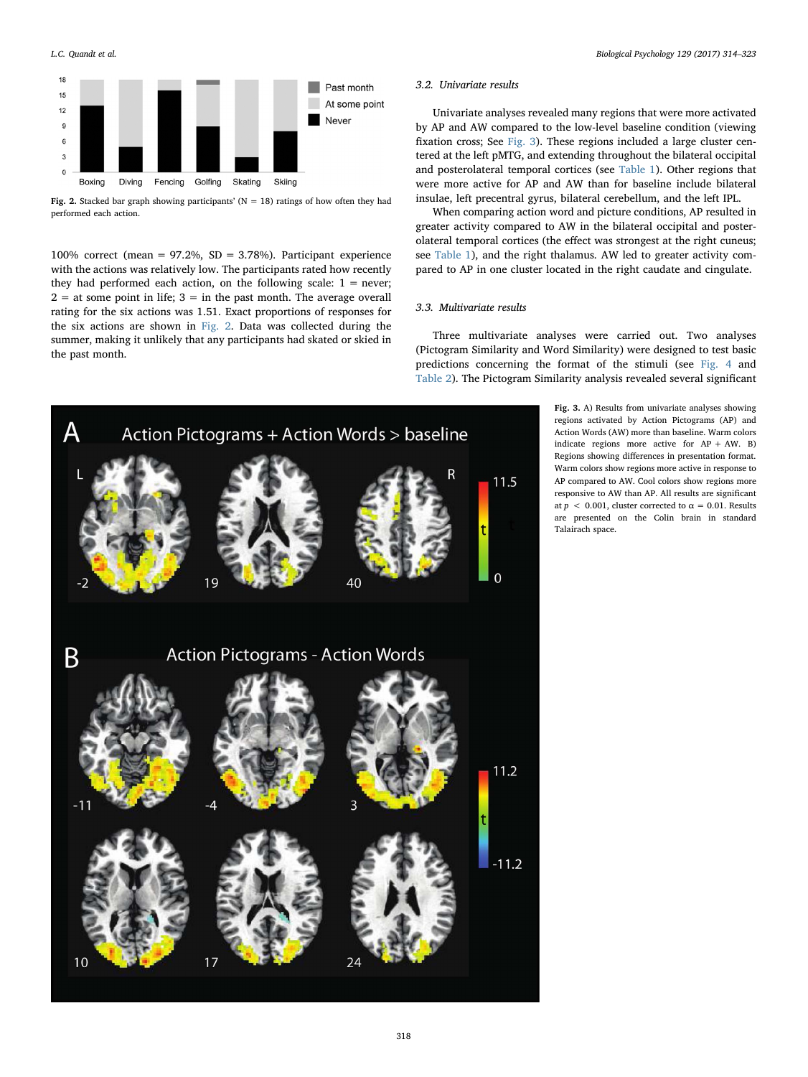<span id="page-4-0"></span>

Fig. 2. Stacked bar graph showing participants' ( $N = 18$ ) ratings of how often they had performed each action.

100% correct (mean =  $97.2\%$ , SD =  $3.78\%$ ). Participant experience with the actions was relatively low. The participants rated how recently they had performed each action, on the following scale:  $1 =$  never;  $2 = at$  some point in life;  $3 = in$  the past month. The average overall rating for the six actions was 1.51. Exact proportions of responses for the six actions are shown in [Fig. 2](#page-4-0). Data was collected during the summer, making it unlikely that any participants had skated or skied in the past month.

#### 3.2. Univariate results

Univariate analyses revealed many regions that were more activated by AP and AW compared to the low-level baseline condition (viewing fixation cross; See [Fig. 3](#page-4-1)). These regions included a large cluster centered at the left pMTG, and extending throughout the bilateral occipital and posterolateral temporal cortices (see [Table 1](#page-5-0)). Other regions that were more active for AP and AW than for baseline include bilateral insulae, left precentral gyrus, bilateral cerebellum, and the left IPL.

When comparing action word and picture conditions, AP resulted in greater activity compared to AW in the bilateral occipital and posterolateral temporal cortices (the effect was strongest at the right cuneus; see [Table 1\)](#page-5-0), and the right thalamus. AW led to greater activity compared to AP in one cluster located in the right caudate and cingulate.

#### 3.3. Multivariate results

Three multivariate analyses were carried out. Two analyses (Pictogram Similarity and Word Similarity) were designed to test basic predictions concerning the format of the stimuli (see [Fig. 4](#page-5-1) and [Table 2\)](#page-6-0). The Pictogram Similarity analysis revealed several significant

<span id="page-4-1"></span>

Fig. 3. A) Results from univariate analyses showing regions activated by Action Pictograms (AP) and Action Words (AW) more than baseline. Warm colors indicate regions more active for AP + AW. B) Regions showing differences in presentation format. Warm colors show regions more active in response to AP compared to AW. Cool colors show regions more responsive to AW than AP. All results are significant at  $p < 0.001$ , cluster corrected to  $\alpha = 0.01$ . Results are presented on the Colin brain in standard Talairach space.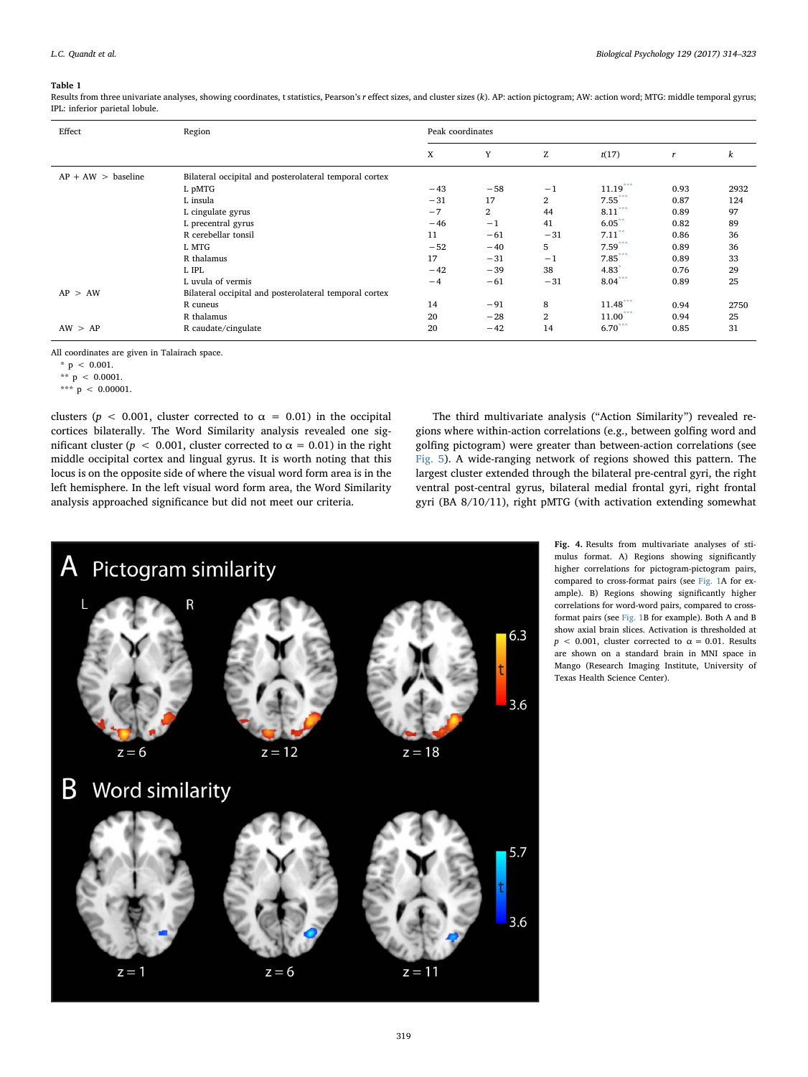#### <span id="page-5-0"></span>Table 1

Results from three univariate analyses, showing coordinates, t statistics, Pearson's r effect sizes, and cluster sizes (k). AP: action pictogram; AW: action word; MTG: middle temporal gyrus; IPL: inferior parietal lobule.

| Effect               | Region                                                 | Peak coordinates |       |                |            |      |      |  |
|----------------------|--------------------------------------------------------|------------------|-------|----------------|------------|------|------|--|
|                      |                                                        | X                | Y     | Z              | t(17)      |      | k    |  |
| $AP + AW > baseline$ | Bilateral occipital and posterolateral temporal cortex |                  |       |                |            |      |      |  |
|                      | L pMTG                                                 | $-43$            | $-58$ | $-1$           | $11.19***$ | 0.93 | 2932 |  |
|                      | L insula                                               | $-31$            | 17    | $\overline{2}$ | $7.55***$  | 0.87 | 124  |  |
|                      | L cingulate gyrus                                      | $-7$             | 2     | 44             | $8.11***$  | 0.89 | 97   |  |
|                      | L precentral gyrus                                     | $-46$            | $-1$  | 41             | $6.05***$  | 0.82 | 89   |  |
|                      | R cerebellar tonsil                                    | 11               | $-61$ | $-31$          | $7.11***$  | 0.86 | 36   |  |
|                      | L MTG                                                  | $-52$            | $-40$ | 5              | $7.59***$  | 0.89 | 36   |  |
|                      | R thalamus                                             | 17               | $-31$ | $-1$           | $7.85***$  | 0.89 | 33   |  |
|                      | L IPL                                                  | $-42$            | $-39$ | 38             | 4.83       | 0.76 | 29   |  |
|                      | L uvula of vermis                                      | $-4$             | $-61$ | $-31$          | $8.04***$  | 0.89 | 25   |  |
| AP > AW              | Bilateral occipital and posterolateral temporal cortex |                  |       |                |            |      |      |  |
|                      | R cuneus                                               | 14               | $-91$ | 8              | $11.48***$ | 0.94 | 2750 |  |
|                      | R thalamus                                             | 20               | $-28$ | $\overline{2}$ | $11.00***$ | 0.94 | 25   |  |
| AW > AP              | R caudate/cingulate                                    | 20               | $-42$ | 14             | $6.70***$  | 0.85 | 31   |  |

All coordinates are given in Talairach space.

<span id="page-5-4"></span> $*$  p < 0.001.

<span id="page-5-3"></span>\*\*  $p$  < 0.0001.

<span id="page-5-2"></span>\*\*\*  $p < 0.00001$ .

clusters ( $p < 0.001$ , cluster corrected to  $\alpha = 0.01$ ) in the occipital cortices bilaterally. The Word Similarity analysis revealed one significant cluster ( $p < 0.001$ , cluster corrected to  $\alpha = 0.01$ ) in the right middle occipital cortex and lingual gyrus. It is worth noting that this locus is on the opposite side of where the visual word form area is in the left hemisphere. In the left visual word form area, the Word Similarity analysis approached significance but did not meet our criteria.

The third multivariate analysis ("Action Similarity") revealed regions where within-action correlations (e.g., between golfing word and golfing pictogram) were greater than between-action correlations (see [Fig. 5\)](#page-6-1). A wide-ranging network of regions showed this pattern. The largest cluster extended through the bilateral pre-central gyri, the right ventral post-central gyrus, bilateral medial frontal gyri, right frontal gyri (BA 8/10/11), right pMTG (with activation extending somewhat

<span id="page-5-1"></span>

Fig. 4. Results from multivariate analyses of stimulus format. A) Regions showing significantly higher correlations for pictogram-pictogram pairs, compared to cross-format pairs (see [Fig. 1A](#page-2-0) for example). B) Regions showing significantly higher correlations for word-word pairs, compared to crossformat pairs (see [Fig. 1B](#page-2-0) for example). Both A and B show axial brain slices. Activation is thresholded at  $p < 0.001$ , cluster corrected to  $\alpha = 0.01$ . Results are shown on a standard brain in MNI space in Mango (Research Imaging Institute, University of Texas Health Science Center).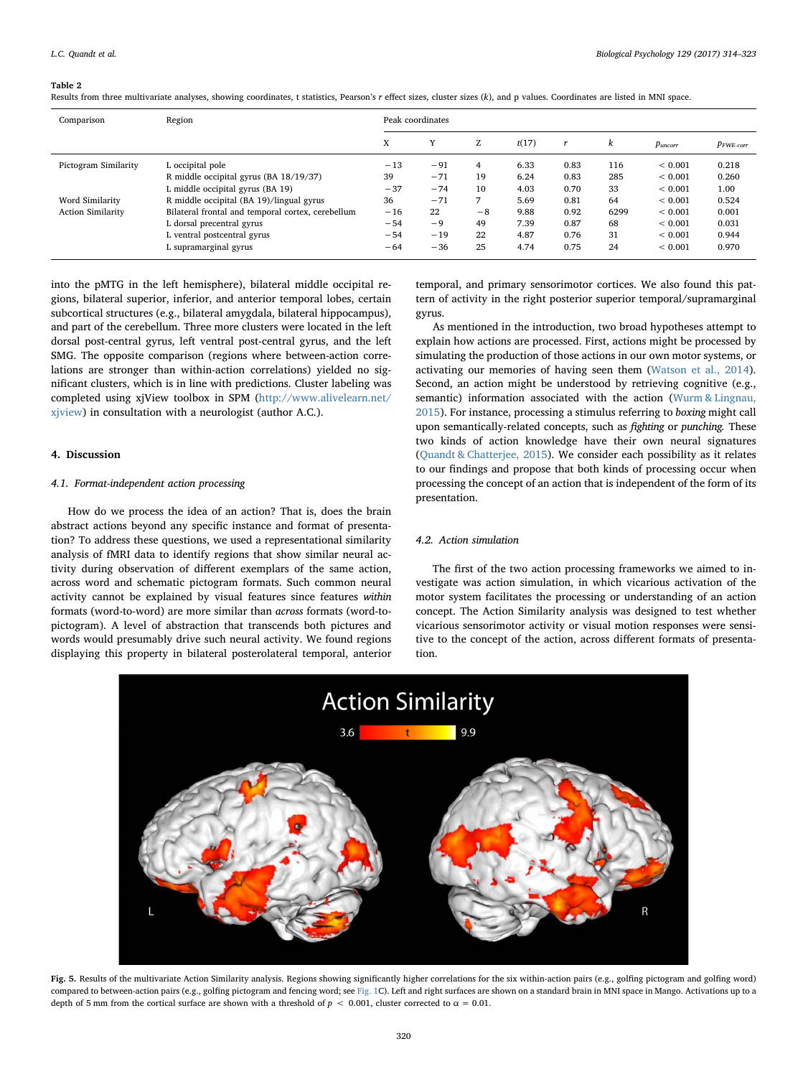#### <span id="page-6-0"></span>Table 2

Results from three multivariate analyses, showing coordinates, t statistics, Pearson's r effect sizes, cluster sizes (k), and p values. Coordinates are listed in MNI space.

| Comparison               | Region                                            |       | Peak coordinates |      |       |                  |      |              |                |  |
|--------------------------|---------------------------------------------------|-------|------------------|------|-------|------------------|------|--------------|----------------|--|
|                          |                                                   | X     | $\mathbf{v}$     | Z    | t(17) | $\boldsymbol{r}$ | k    | $p_{uncorr}$ | $p_{FWE-corr}$ |  |
| Pictogram Similarity     | L occipital pole                                  | $-13$ | $-91$            | 4    | 6.33  | 0.83             | 116  | ${}< 0.001$  | 0.218          |  |
|                          | R middle occipital gyrus (BA 18/19/37)            | 39    | $-71$            | 19   | 6.24  | 0.83             | 285  | ${}< 0.001$  | 0.260          |  |
|                          | L middle occipital gyrus (BA 19)                  | $-37$ | $-74$            | 10   | 4.03  | 0.70             | 33   | ${}< 0.001$  | 1.00           |  |
| Word Similarity          | R middle occipital (BA 19)/lingual gyrus          | 36    | $-71$            | 7    | 5.69  | 0.81             | 64   | ${}< 0.001$  | 0.524          |  |
| <b>Action Similarity</b> | Bilateral frontal and temporal cortex, cerebellum | $-16$ | 22               | $-8$ | 9.88  | 0.92             | 6299 | ${}< 0.001$  | 0.001          |  |
|                          | L dorsal precentral gyrus                         | $-54$ | $-9$             | 49   | 7.39  | 0.87             | 68   | ${}< 0.001$  | 0.031          |  |
|                          | L ventral postcentral gyrus                       | $-54$ | $-19$            | 22   | 4.87  | 0.76             | 31   | ${}< 0.001$  | 0.944          |  |
|                          | L supramarginal gyrus                             | $-64$ | $-36$            | 25   | 4.74  | 0.75             | 24   | ${}< 0.001$  | 0.970          |  |

into the pMTG in the left hemisphere), bilateral middle occipital regions, bilateral superior, inferior, and anterior temporal lobes, certain subcortical structures (e.g., bilateral amygdala, bilateral hippocampus), and part of the cerebellum. Three more clusters were located in the left dorsal post-central gyrus, left ventral post-central gyrus, and the left SMG. The opposite comparison (regions where between-action correlations are stronger than within-action correlations) yielded no significant clusters, which is in line with predictions. Cluster labeling was completed using xjView toolbox in SPM [\(http://www.alivelearn.net/](http://www.alivelearn.net/xjview) [xjview\)](http://www.alivelearn.net/xjview) in consultation with a neurologist (author A.C.).

#### 4. Discussion

#### 4.1. Format-independent action processing

How do we process the idea of an action? That is, does the brain abstract actions beyond any specific instance and format of presentation? To address these questions, we used a representational similarity analysis of fMRI data to identify regions that show similar neural activity during observation of different exemplars of the same action, across word and schematic pictogram formats. Such common neural activity cannot be explained by visual features since features within formats (word-to-word) are more similar than across formats (word-topictogram). A level of abstraction that transcends both pictures and words would presumably drive such neural activity. We found regions displaying this property in bilateral posterolateral temporal, anterior

temporal, and primary sensorimotor cortices. We also found this pattern of activity in the right posterior superior temporal/supramarginal gyrus.

As mentioned in the introduction, two broad hypotheses attempt to explain how actions are processed. First, actions might be processed by simulating the production of those actions in our own motor systems, or activating our memories of having seen them [\(Watson et al., 2014](#page-9-10)). Second, an action might be understood by retrieving cognitive (e.g., semantic) information associated with the action [\(Wurm & Lingnau,](#page-9-1) [2015\)](#page-9-1). For instance, processing a stimulus referring to boxing might call upon semantically-related concepts, such as fighting or punching. These two kinds of action knowledge have their own neural signatures ([Quandt & Chatterjee, 2015\)](#page-9-2). We consider each possibility as it relates to our findings and propose that both kinds of processing occur when processing the concept of an action that is independent of the form of its presentation.

#### 4.2. Action simulation

The first of the two action processing frameworks we aimed to investigate was action simulation, in which vicarious activation of the motor system facilitates the processing or understanding of an action concept. The Action Similarity analysis was designed to test whether vicarious sensorimotor activity or visual motion responses were sensitive to the concept of the action, across different formats of presentation.

<span id="page-6-1"></span>

Fig. 5. Results of the multivariate Action Similarity analysis. Regions showing significantly higher correlations for the six within-action pairs (e.g., golfing pictogram and golfing word) compared to between-action pairs (e.g., golfing pictogram and fencing word; see [Fig. 1C](#page-2-0)). Left and right surfaces are shown on a standard brain in MNI space in Mango. Activations up to a depth of 5 mm from the cortical surface are shown with a threshold of  $p < 0.001$ , cluster corrected to  $\alpha = 0.01$ .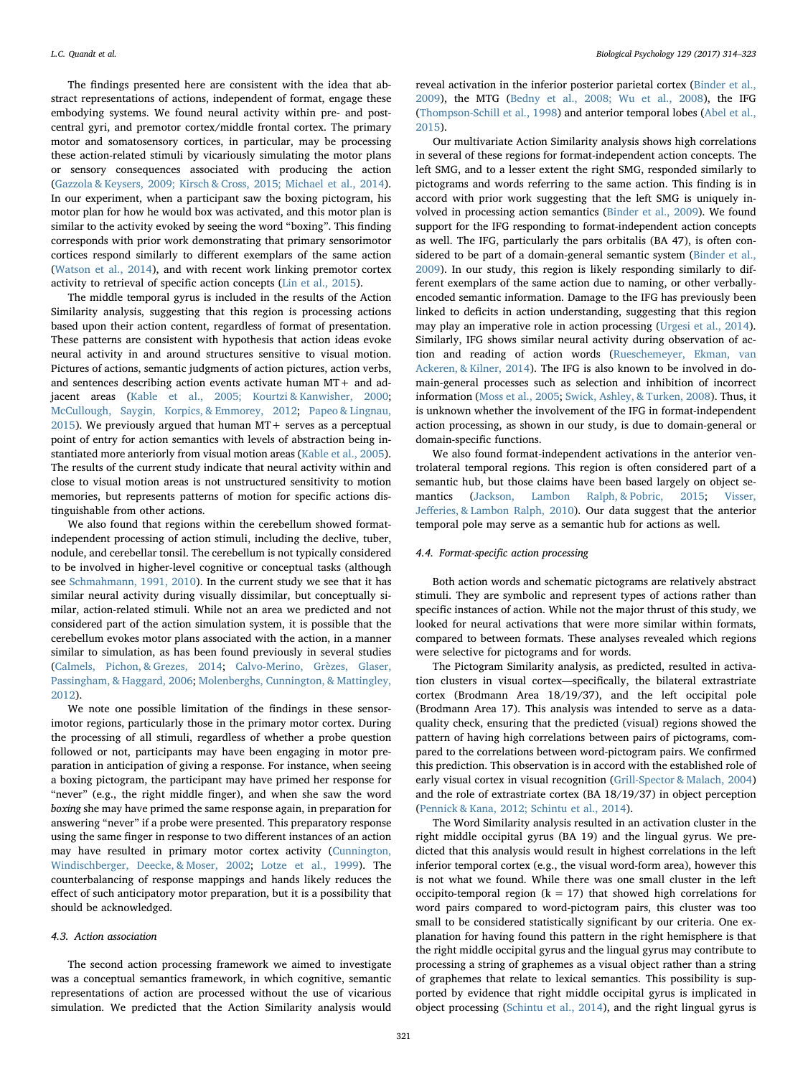The findings presented here are consistent with the idea that abstract representations of actions, independent of format, engage these embodying systems. We found neural activity within pre- and postcentral gyri, and premotor cortex/middle frontal cortex. The primary motor and somatosensory cortices, in particular, may be processing these action-related stimuli by vicariously simulating the motor plans or sensory consequences associated with producing the action ([Gazzola & Keysers, 2009; Kirsch & Cross, 2015; Michael et al., 2014](#page-8-22)). In our experiment, when a participant saw the boxing pictogram, his motor plan for how he would box was activated, and this motor plan is similar to the activity evoked by seeing the word "boxing". This finding corresponds with prior work demonstrating that primary sensorimotor cortices respond similarly to different exemplars of the same action ([Watson et al., 2014](#page-9-10)), and with recent work linking premotor cortex activity to retrieval of specific action concepts [\(Lin et al., 2015\)](#page-9-20).

The middle temporal gyrus is included in the results of the Action Similarity analysis, suggesting that this region is processing actions based upon their action content, regardless of format of presentation. These patterns are consistent with hypothesis that action ideas evoke neural activity in and around structures sensitive to visual motion. Pictures of actions, semantic judgments of action pictures, action verbs, and sentences describing action events activate human MT+ and adjacent areas [\(Kable et al., 2005; Kourtzi & Kanwisher, 2000](#page-8-13); [McCullough, Saygin, Korpics, & Emmorey, 2012](#page-9-21); [Papeo & Lingnau,](#page-9-11) [2015\)](#page-9-11). We previously argued that human  $MT +$  serves as a perceptual point of entry for action semantics with levels of abstraction being instantiated more anteriorly from visual motion areas [\(Kable et al., 2005](#page-8-13)). The results of the current study indicate that neural activity within and close to visual motion areas is not unstructured sensitivity to motion memories, but represents patterns of motion for specific actions distinguishable from other actions.

We also found that regions within the cerebellum showed formatindependent processing of action stimuli, including the declive, tuber, nodule, and cerebellar tonsil. The cerebellum is not typically considered to be involved in higher-level cognitive or conceptual tasks (although see [Schmahmann, 1991, 2010\)](#page-9-22). In the current study we see that it has similar neural activity during visually dissimilar, but conceptually similar, action-related stimuli. While not an area we predicted and not considered part of the action simulation system, it is possible that the cerebellum evokes motor plans associated with the action, in a manner similar to simulation, as has been found previously in several studies ([Calmels, Pichon, & Grezes, 2014](#page-8-23); [Calvo-Merino, Grèzes, Glaser,](#page-8-24) [Passingham, & Haggard, 2006](#page-8-24); [Molenberghs, Cunnington, & Mattingley,](#page-9-23) [2012\)](#page-9-23).

We note one possible limitation of the findings in these sensorimotor regions, particularly those in the primary motor cortex. During the processing of all stimuli, regardless of whether a probe question followed or not, participants may have been engaging in motor preparation in anticipation of giving a response. For instance, when seeing a boxing pictogram, the participant may have primed her response for "never" (e.g., the right middle finger), and when she saw the word boxing she may have primed the same response again, in preparation for answering "never" if a probe were presented. This preparatory response using the same finger in response to two different instances of an action may have resulted in primary motor cortex activity [\(Cunnington,](#page-8-25) [Windischberger, Deecke, & Moser, 2002;](#page-8-25) [Lotze et al., 1999](#page-9-24)). The counterbalancing of response mappings and hands likely reduces the effect of such anticipatory motor preparation, but it is a possibility that should be acknowledged.

#### 4.3. Action association

The second action processing framework we aimed to investigate was a conceptual semantics framework, in which cognitive, semantic representations of action are processed without the use of vicarious simulation. We predicted that the Action Similarity analysis would

reveal activation in the inferior posterior parietal cortex ([Binder et al.,](#page-8-5) [2009\)](#page-8-5), the MTG [\(Bedny et al., 2008; Wu et al., 2008\)](#page-8-6), the IFG ([Thompson-Schill et al., 1998\)](#page-9-6) and anterior temporal lobes ([Abel et al.,](#page-8-7) [2015\)](#page-8-7).

Our multivariate Action Similarity analysis shows high correlations in several of these regions for format-independent action concepts. The left SMG, and to a lesser extent the right SMG, responded similarly to pictograms and words referring to the same action. This finding is in accord with prior work suggesting that the left SMG is uniquely involved in processing action semantics ([Binder et al., 2009\)](#page-8-5). We found support for the IFG responding to format-independent action concepts as well. The IFG, particularly the pars orbitalis (BA 47), is often considered to be part of a domain-general semantic system [\(Binder et al.,](#page-8-5) [2009\)](#page-8-5). In our study, this region is likely responding similarly to different exemplars of the same action due to naming, or other verballyencoded semantic information. Damage to the IFG has previously been linked to deficits in action understanding, suggesting that this region may play an imperative role in action processing ([Urgesi et al., 2014](#page-9-7)). Similarly, IFG shows similar neural activity during observation of action and reading of action words [\(Rueschemeyer, Ekman, van](#page-9-25) [Ackeren, & Kilner, 2014\)](#page-9-25). The IFG is also known to be involved in domain-general processes such as selection and inhibition of incorrect information [\(Moss et al., 2005;](#page-9-26) [Swick, Ashley, & Turken, 2008\)](#page-9-27). Thus, it is unknown whether the involvement of the IFG in format-independent action processing, as shown in our study, is due to domain-general or domain-specific functions.

We also found format-independent activations in the anterior ventrolateral temporal regions. This region is often considered part of a semantic hub, but those claims have been based largely on object semantics [\(Jackson, Lambon Ralph, & Pobric, 2015;](#page-8-26) [Visser,](#page-9-28) Jeff[eries, & Lambon Ralph, 2010](#page-9-28)). Our data suggest that the anterior temporal pole may serve as a semantic hub for actions as well.

#### 4.4. Format-specific action processing

Both action words and schematic pictograms are relatively abstract stimuli. They are symbolic and represent types of actions rather than specific instances of action. While not the major thrust of this study, we looked for neural activations that were more similar within formats, compared to between formats. These analyses revealed which regions were selective for pictograms and for words.

The Pictogram Similarity analysis, as predicted, resulted in activation clusters in visual cortex—specifically, the bilateral extrastriate cortex (Brodmann Area 18/19/37), and the left occipital pole (Brodmann Area 17). This analysis was intended to serve as a dataquality check, ensuring that the predicted (visual) regions showed the pattern of having high correlations between pairs of pictograms, compared to the correlations between word-pictogram pairs. We confirmed this prediction. This observation is in accord with the established role of early visual cortex in visual recognition ([Grill-Spector & Malach, 2004\)](#page-8-27) and the role of extrastriate cortex (BA 18/19/37) in object perception ([Pennick & Kana, 2012; Schintu et al., 2014\)](#page-9-29).

The Word Similarity analysis resulted in an activation cluster in the right middle occipital gyrus (BA 19) and the lingual gyrus. We predicted that this analysis would result in highest correlations in the left inferior temporal cortex (e.g., the visual word-form area), however this is not what we found. While there was one small cluster in the left occipito-temporal region  $(k = 17)$  that showed high correlations for word pairs compared to word-pictogram pairs, this cluster was too small to be considered statistically significant by our criteria. One explanation for having found this pattern in the right hemisphere is that the right middle occipital gyrus and the lingual gyrus may contribute to processing a string of graphemes as a visual object rather than a string of graphemes that relate to lexical semantics. This possibility is supported by evidence that right middle occipital gyrus is implicated in object processing ([Schintu et al., 2014\)](#page-9-30), and the right lingual gyrus is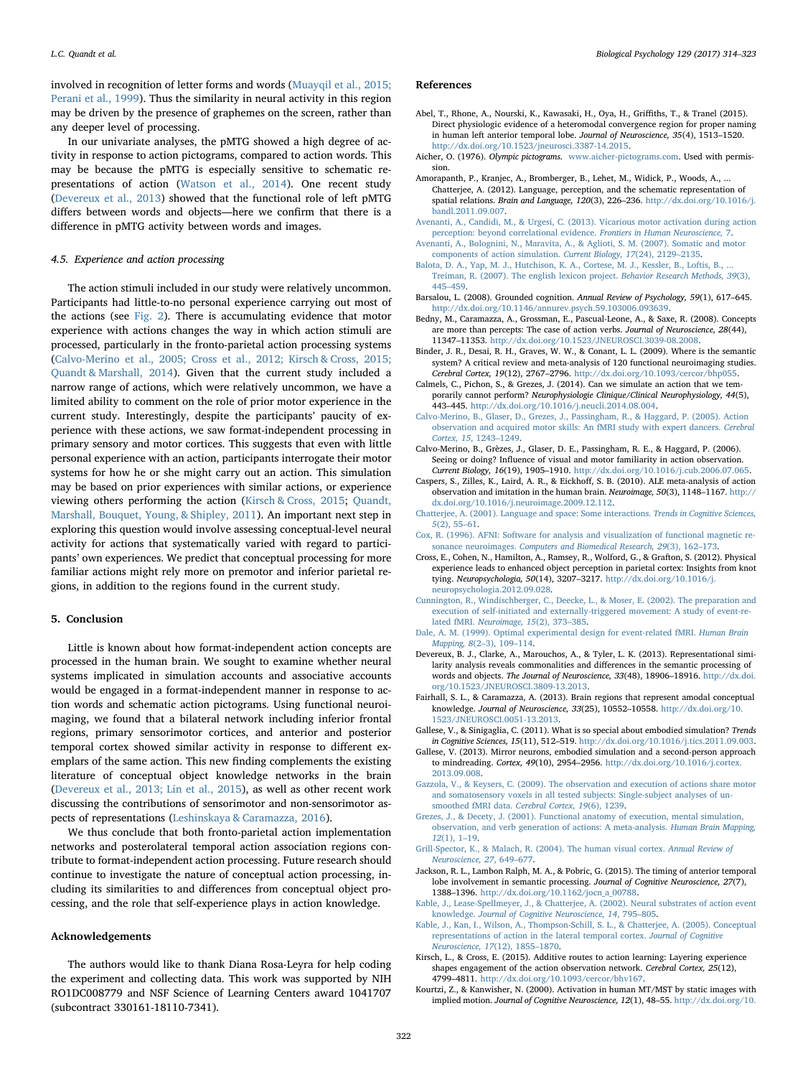involved in recognition of letter forms and words ([Muayqil et al., 2015;](#page-9-17) [Perani et al., 1999\)](#page-9-17). Thus the similarity in neural activity in this region may be driven by the presence of graphemes on the screen, rather than any deeper level of processing.

In our univariate analyses, the pMTG showed a high degree of activity in response to action pictograms, compared to action words. This may be because the pMTG is especially sensitive to schematic representations of action [\(Watson et al., 2014](#page-9-10)). One recent study ([Devereux et al., 2013\)](#page-8-14) showed that the functional role of left pMTG differs between words and objects—here we confirm that there is a difference in pMTG activity between words and images.

#### 4.5. Experience and action processing

The action stimuli included in our study were relatively uncommon. Participants had little-to-no personal experience carrying out most of the actions (see [Fig. 2\)](#page-4-0). There is accumulating evidence that motor experience with actions changes the way in which action stimuli are processed, particularly in the fronto-parietal action processing systems ([Calvo-Merino et al., 2005; Cross et al., 2012; Kirsch & Cross, 2015;](#page-8-9) [Quandt & Marshall, 2014\)](#page-8-9). Given that the current study included a narrow range of actions, which were relatively uncommon, we have a limited ability to comment on the role of prior motor experience in the current study. Interestingly, despite the participants' paucity of experience with these actions, we saw format-independent processing in primary sensory and motor cortices. This suggests that even with little personal experience with an action, participants interrogate their motor systems for how he or she might carry out an action. This simulation may be based on prior experiences with similar actions, or experience viewing others performing the action ([Kirsch & Cross, 2015](#page-8-10); [Quandt,](#page-9-31) [Marshall, Bouquet, Young, & Shipley, 2011](#page-9-31)). An important next step in exploring this question would involve assessing conceptual-level neural activity for actions that systematically varied with regard to participants' own experiences. We predict that conceptual processing for more familiar actions might rely more on premotor and inferior parietal regions, in addition to the regions found in the current study.

#### 5. Conclusion

Little is known about how format-independent action concepts are processed in the human brain. We sought to examine whether neural systems implicated in simulation accounts and associative accounts would be engaged in a format-independent manner in response to action words and schematic action pictograms. Using functional neuroimaging, we found that a bilateral network including inferior frontal regions, primary sensorimotor cortices, and anterior and posterior temporal cortex showed similar activity in response to different exemplars of the same action. This new finding complements the existing literature of conceptual object knowledge networks in the brain ([Devereux et al., 2013; Lin et al., 2015](#page-8-14)), as well as other recent work discussing the contributions of sensorimotor and non-sensorimotor aspects of representations ([Leshinskaya & Caramazza, 2016](#page-9-32)).

We thus conclude that both fronto-parietal action implementation networks and posterolateral temporal action association regions contribute to format-independent action processing. Future research should continue to investigate the nature of conceptual action processing, including its similarities to and differences from conceptual object processing, and the role that self-experience plays in action knowledge.

#### Acknowledgements

The authors would like to thank Diana Rosa-Leyra for help coding the experiment and collecting data. This work was supported by NIH RO1DC008779 and NSF Science of Learning Centers award 1041707 (subcontract 330161-18110-7341).

#### References

- <span id="page-8-7"></span>Abel, T., Rhone, A., Nourski, K., Kawasaki, H., Oya, H., Griffiths, T., & Tranel (2015). Direct physiologic evidence of a heteromodal convergence region for proper naming in human left anterior temporal lobe. Journal of Neuroscience, 35(4), 1513–1520. [http://dx.doi.org/10.1523/jneurosci.3387-14.2015.](http://dx.doi.org/10.1523/jneurosci.3387-14.2015)
- <span id="page-8-18"></span>Aicher, O. (1976). Olympic pictograms. [www.aicher-pictograms.com](http://www.aicher-pictograms.com). Used with permission.
- <span id="page-8-16"></span>Amorapanth, P., Kranjec, A., Bromberger, B., Lehet, M., Widick, P., Woods, A., ... Chatterjee, A. (2012). Language, perception, and the schematic representation of spatial relations. Brain and Language, 120(3), 226–236. [http://dx.doi.org/10.1016/j.](http://dx.doi.org/10.1016/j.bandl.2011.09.007) [bandl.2011.09.007](http://dx.doi.org/10.1016/j.bandl.2011.09.007).
- <span id="page-8-2"></span>[Avenanti, A., Candidi, M., & Urgesi, C. \(2013\). Vicarious motor activation during action](http://refhub.elsevier.com/S0301-0511(17)30256-9/sbref0020) [perception: beyond correlational evidence.](http://refhub.elsevier.com/S0301-0511(17)30256-9/sbref0020) Frontiers in Human Neuroscience, 7. [Avenanti, A., Bolognini, N., Maravita, A., & Aglioti, S. M. \(2007\). Somatic and motor](http://refhub.elsevier.com/S0301-0511(17)30256-9/sbref0025)
- <span id="page-8-19"></span><span id="page-8-3"></span>[components of action simulation.](http://refhub.elsevier.com/S0301-0511(17)30256-9/sbref0025) Current Biology, 17(24), 2129–2135. Balota, D. A., Yap, M. J., Hutchison, K. A., Cortese, M. J., Kessler, B., Loftis, B.,
- [Treiman, R. \(2007\). The english lexicon project.](http://refhub.elsevier.com/S0301-0511(17)30256-9/sbref0030) Behavior Research Methods, 39(3), 445–[459](http://refhub.elsevier.com/S0301-0511(17)30256-9/sbref0030).
- <span id="page-8-0"></span>Barsalou, L. (2008). Grounded cognition. Annual Review of Psychology, 59(1), 617–645. <http://dx.doi.org/10.1146/annurev.psych.59.103006.093639>.
- <span id="page-8-6"></span>Bedny, M., Caramazza, A., Grossman, E., Pascual-Leone, A., & Saxe, R. (2008). Concepts are more than percepts: The case of action verbs. Journal of Neuroscience, 28(44), 11347–11353. <http://dx.doi.org/10.1523/JNEUROSCI.3039-08.2008>.
- <span id="page-8-5"></span>Binder, J. R., Desai, R. H., Graves, W. W., & Conant, L. L. (2009). Where is the semantic system? A critical review and meta-analysis of 120 functional neuroimaging studies. Cerebral Cortex, 19(12), 2767–2796. [http://dx.doi.org/10.1093/cercor/bhp055.](http://dx.doi.org/10.1093/cercor/bhp055)
- <span id="page-8-23"></span>Calmels, C., Pichon, S., & Grezes, J. (2014). Can we simulate an action that we temporarily cannot perform? Neurophysiologie Clinique/Clinical Neurophysiology, 44(5), 443–445. [http://dx.doi.org/10.1016/j.neucli.2014.08.004.](http://dx.doi.org/10.1016/j.neucli.2014.08.004)
- <span id="page-8-9"></span>[Calvo-Merino, B., Glaser, D., Grezes, J., Passingham, R., & Haggard, P. \(2005\). Action](http://refhub.elsevier.com/S0301-0511(17)30256-9/sbref0055) [observation and acquired motor skills: An fMRI study with expert dancers.](http://refhub.elsevier.com/S0301-0511(17)30256-9/sbref0055) Cerebral [Cortex, 15](http://refhub.elsevier.com/S0301-0511(17)30256-9/sbref0055), 1243–1249.
- <span id="page-8-24"></span>Calvo-Merino, B., Grèzes, J., Glaser, D. E., Passingham, R. E., & Haggard, P. (2006). Seeing or doing? Influence of visual and motor familiarity in action observation. Current Biology, 16(19), 1905–1910. [http://dx.doi.org/10.1016/j.cub.2006.07.065.](http://dx.doi.org/10.1016/j.cub.2006.07.065)
- <span id="page-8-8"></span>Caspers, S., Zilles, K., Laird, A. R., & Eickhoff, S. B. (2010). ALE meta-analysis of action observation and imitation in the human brain. Neuroimage, 50(3), 1148–1167. [http://](http://dx.doi.org/10.1016/j.neuroimage.2009.12.112) [dx.doi.org/10.1016/j.neuroimage.2009.12.112.](http://dx.doi.org/10.1016/j.neuroimage.2009.12.112)
- <span id="page-8-17"></span>Chatterjee, [A. \(2001\). Language and space: Some interactions.](http://refhub.elsevier.com/S0301-0511(17)30256-9/sbref0070) Trends in Cognitive Sciences, 5[\(2\), 55](http://refhub.elsevier.com/S0301-0511(17)30256-9/sbref0070)–61.
- <span id="page-8-21"></span>[Cox, R. \(1996\). AFNI: Software for analysis and visualization of functional magnetic re](http://refhub.elsevier.com/S0301-0511(17)30256-9/sbref0075)sonance neuroimages. [Computers and Biomedical Research, 29](http://refhub.elsevier.com/S0301-0511(17)30256-9/sbref0075)(3), 162–173.
- Cross, E., Cohen, N., Hamilton, A., Ramsey, R., Wolford, G., & Grafton, S. (2012). Physical experience leads to enhanced object perception in parietal cortex: Insights from knot tying. Neuropsychologia, 50(14), 3207–3217. [http://dx.doi.org/10.1016/j.](http://dx.doi.org/10.1016/j.neuropsychologia.2012.09.028) [neuropsychologia.2012.09.028.](http://dx.doi.org/10.1016/j.neuropsychologia.2012.09.028)
- <span id="page-8-25"></span>[Cunnington, R., Windischberger, C., Deecke, L., & Moser, E. \(2002\). The preparation and](http://refhub.elsevier.com/S0301-0511(17)30256-9/sbref0085) [execution of self-initiated and externally-triggered movement: A study of event-re](http://refhub.elsevier.com/S0301-0511(17)30256-9/sbref0085)lated fMRI. [Neuroimage, 15](http://refhub.elsevier.com/S0301-0511(17)30256-9/sbref0085)(2), 373–385.
- <span id="page-8-20"></span>[Dale, A. M. \(1999\). Optimal experimental design for event-related fMRI.](http://refhub.elsevier.com/S0301-0511(17)30256-9/sbref0090) Human Brain [Mapping, 8](http://refhub.elsevier.com/S0301-0511(17)30256-9/sbref0090)(2–3), 109–114.
- <span id="page-8-14"></span>Devereux, B. J., Clarke, A., Marouchos, A., & Tyler, L. K. (2013). Representational similarity analysis reveals commonalities and differences in the semantic processing of words and objects. The Journal of Neuroscience, 33(48), 18906–18916. [http://dx.doi.](http://dx.doi.org/10.1523/JNEUROSCI.3809-13.2013) [org/10.1523/JNEUROSCI.3809-13.2013](http://dx.doi.org/10.1523/JNEUROSCI.3809-13.2013).
- <span id="page-8-15"></span>Fairhall, S. L., & Caramazza, A. (2013). Brain regions that represent amodal conceptual knowledge. Journal of Neuroscience, 33(25), 10552–10558. [http://dx.doi.org/10.](http://dx.doi.org/10.1523/JNEUROSCI.0051-13.2013) [1523/JNEUROSCI.0051-13.2013.](http://dx.doi.org/10.1523/JNEUROSCI.0051-13.2013)
- Gallese, V., & Sinigaglia, C. (2011). What is so special about embodied simulation? Trends in Cognitive Sciences, 15(11), 512–519. [http://dx.doi.org/10.1016/j.tics.2011.09.003.](http://dx.doi.org/10.1016/j.tics.2011.09.003)
- <span id="page-8-1"></span>Gallese, V. (2013). Mirror neurons, embodied simulation and a second-person approach to mindreading. Cortex, 49(10), 2954–2956. [http://dx.doi.org/10.1016/j.cortex.](http://dx.doi.org/10.1016/j.cortex.2013.09.008) [2013.09.008](http://dx.doi.org/10.1016/j.cortex.2013.09.008).
- <span id="page-8-22"></span>[Gazzola, V., & Keysers, C. \(2009\). The observation and execution of actions share motor](http://refhub.elsevier.com/S0301-0511(17)30256-9/sbref0115) [and somatosensory voxels in all tested subjects: Single-subject analyses of un](http://refhub.elsevier.com/S0301-0511(17)30256-9/sbref0115)[smoothed fMRI data.](http://refhub.elsevier.com/S0301-0511(17)30256-9/sbref0115) Cerebral Cortex, 19(6), 1239.
- <span id="page-8-4"></span>[Grezes, J., & Decety, J. \(2001\). Functional anatomy of execution, mental simulation,](http://refhub.elsevier.com/S0301-0511(17)30256-9/sbref0120) [observation, and verb generation of actions: A meta](http://refhub.elsevier.com/S0301-0511(17)30256-9/sbref0120)‐analysis. Human Brain Mapping, 12[\(1\), 1](http://refhub.elsevier.com/S0301-0511(17)30256-9/sbref0120)–19.
- <span id="page-8-27"></span>[Grill-Spector, K., & Malach, R. \(2004\). The human visual cortex.](http://refhub.elsevier.com/S0301-0511(17)30256-9/sbref0125) Annual Review of [Neuroscience, 27](http://refhub.elsevier.com/S0301-0511(17)30256-9/sbref0125), 649–677.
- <span id="page-8-26"></span>Jackson, R. L., Lambon Ralph, M. A., & Pobric, G. (2015). The timing of anterior temporal lobe involvement in semantic processing. Journal of Cognitive Neuroscience, 27(7), 1388–1396. [http://dx.doi.org/10.1162/jocn\\_a\\_00788.](http://dx.doi.org/10.1162/jocn_a_00788)
- <span id="page-8-12"></span>[Kable, J., Lease-Spellmeyer, J., & Chatterjee, A. \(2002\). Neural substrates of action event](http://refhub.elsevier.com/S0301-0511(17)30256-9/sbref0135) knowledge. [Journal of Cognitive Neuroscience, 14](http://refhub.elsevier.com/S0301-0511(17)30256-9/sbref0135), 795–805.
- <span id="page-8-13"></span>[Kable, J., Kan, I., Wilson, A., Thompson-Schill, S. L., & Chatterjee, A. \(2005\). Conceptual](http://refhub.elsevier.com/S0301-0511(17)30256-9/sbref0140) [representations of action in the lateral temporal cortex.](http://refhub.elsevier.com/S0301-0511(17)30256-9/sbref0140) Journal of Cognitive [Neuroscience, 17](http://refhub.elsevier.com/S0301-0511(17)30256-9/sbref0140)(12), 1855–1870.
- <span id="page-8-10"></span>Kirsch, L., & Cross, E. (2015). Additive routes to action learning: Layering experience shapes engagement of the action observation network. Cerebral Cortex, 25(12), 4799–4811. <http://dx.doi.org/10.1093/cercor/bhv167>.
- <span id="page-8-11"></span>Kourtzi, Z., & Kanwisher, N. (2000). Activation in human MT/MST by static images with implied motion. Journal of Cognitive Neuroscience, 12(1), 48–55. [http://dx.doi.org/10.](http://dx.doi.org/10.1162/08989290051137594)